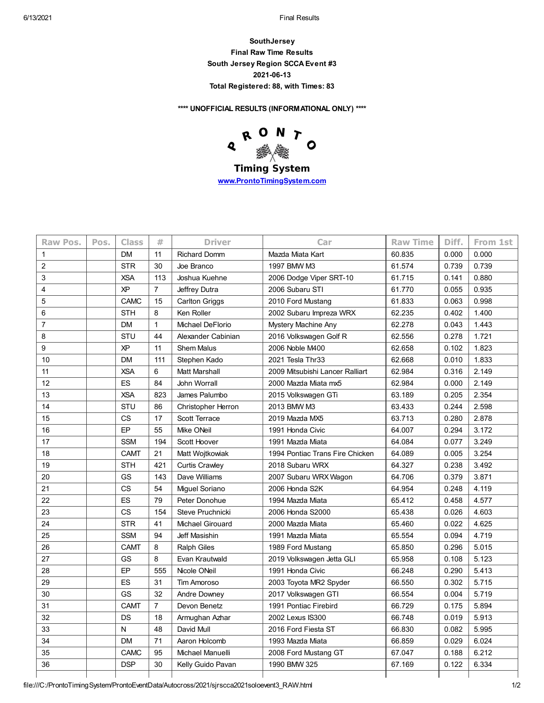**SouthJersey Final Raw Time Results South Jersey Region SCCA Event #3 2021-06-13 Total Registered: 88, with Times: 83**

**\*\*\*\* UNOFFICIAL RESULTS (INFORMATIONAL ONLY) \*\*\*\***



**Timing System [www.ProntoTimingSystem.com](http://www.prontotimingsystem.com/)**

| Raw Pos.       | Pos. | <b>Class</b> | #              | <b>Driver</b>             | Car                             | <b>Raw Time</b> | Diff. | From 1st |
|----------------|------|--------------|----------------|---------------------------|---------------------------------|-----------------|-------|----------|
| 1              |      | <b>DM</b>    | 11             | <b>Richard Domm</b>       | Mazda Miata Kart                | 60.835          | 0.000 | 0.000    |
| $\overline{2}$ |      | <b>STR</b>   | 30             | Joe Branco                | 1997 BMW M3                     | 61.574          | 0.739 | 0.739    |
| 3              |      | <b>XSA</b>   | 113            | Joshua Kuehne             | 2006 Dodge Viper SRT-10         | 61.715          | 0.141 | 0.880    |
| 4              |      | <b>XP</b>    | $\overline{7}$ | Jeffrey Dutra             | 2006 Subaru STI                 | 61.770          | 0.055 | 0.935    |
| 5              |      | <b>CAMC</b>  | 15             | <b>Carlton Griggs</b>     | 2010 Ford Mustang               | 61.833          | 0.063 | 0.998    |
| 6              |      | <b>STH</b>   | 8              | Ken Roller                | 2002 Subaru Impreza WRX         | 62.235          | 0.402 | 1.400    |
| $\overline{7}$ |      | <b>DM</b>    | $\mathbf{1}$   | Michael DeFlorio          | Mystery Machine Any             | 62.278          | 0.043 | 1.443    |
| 8              |      | <b>STU</b>   | 44             | Alexander Cabinian        | 2016 Volkswagen Golf R          | 62.556          | 0.278 | 1.721    |
| 9              |      | ΧP           | 11             | <b>Shem Malus</b>         | 2006 Noble M400                 | 62.658          | 0.102 | 1.823    |
| 10             |      | DM           | 111            | Stephen Kado              | 2021 Tesla Thr33                | 62.668          | 0.010 | 1.833    |
| 11             |      | <b>XSA</b>   | 6              | <b>Matt Marshall</b>      | 2009 Mitsubishi Lancer Ralliart | 62.984          | 0.316 | 2.149    |
| 12             |      | <b>ES</b>    | 84             | John Worrall              | 2000 Mazda Miata mx5            | 62.984          | 0.000 | 2.149    |
| 13             |      | <b>XSA</b>   | 823            | James Palumbo             | 2015 Volkswagen GTi             | 63.189          | 0.205 | 2.354    |
| 14             |      | STU          | 86             | <b>Christopher Herron</b> | 2013 BMW M3                     | 63.433          | 0.244 | 2.598    |
| 15             |      | CS           | 17             | Scott Terrace             | 2019 Mazda MX5                  | 63.713          | 0.280 | 2.878    |
| 16             |      | EP           | 55             | Mike ONeil                | 1991 Honda Civic                | 64.007          | 0.294 | 3.172    |
| 17             |      | <b>SSM</b>   | 194            | Scott Hoover              | 1991 Mazda Miata                | 64.084          | 0.077 | 3.249    |
| 18             |      | <b>CAMT</b>  | 21             | Matt Wojtkowiak           | 1994 Pontiac Trans Fire Chicken | 64.089          | 0.005 | 3.254    |
| 19             |      | <b>STH</b>   | 421            | <b>Curtis Crawley</b>     | 2018 Subaru WRX                 | 64.327          | 0.238 | 3.492    |
| 20             |      | GS           | 143            | Dave Williams             | 2007 Subaru WRX Wagon           | 64.706          | 0.379 | 3.871    |
| 21             |      | CS           | 54             | Miguel Soriano            | 2006 Honda S2K                  | 64.954          | 0.248 | 4.119    |
| 22             |      | ES           | 79             | Peter Donohue             | 1994 Mazda Miata                | 65.412          | 0.458 | 4.577    |
| 23             |      | <b>CS</b>    | 154            | Steve Pruchnicki          | 2006 Honda S2000                | 65.438          | 0.026 | 4.603    |
| 24             |      | <b>STR</b>   | 41             | <b>Michael Girouard</b>   | 2000 Mazda Miata                | 65.460          | 0.022 | 4.625    |
| 25             |      | <b>SSM</b>   | 94             | Jeff Masishin             | 1991 Mazda Miata                | 65.554          | 0.094 | 4.719    |
| 26             |      | <b>CAMT</b>  | 8              | <b>Ralph Giles</b>        | 1989 Ford Mustang               | 65.850          | 0.296 | 5.015    |
| 27             |      | GS           | 8              | Evan Krautwald            | 2019 Volkswagen Jetta GLI       | 65.958          | 0.108 | 5.123    |
| 28             |      | EP           | 555            | Nicole ONeil              | 1991 Honda Civic                | 66.248          | 0.290 | 5.413    |
| 29             |      | ES           | 31             | Tim Amoroso               | 2003 Toyota MR2 Spyder          | 66.550          | 0.302 | 5.715    |
| 30             |      | GS           | 32             | Andre Downey              | 2017 Volkswagen GTI             | 66.554          | 0.004 | 5.719    |
| 31             |      | <b>CAMT</b>  | $\overline{7}$ | Devon Benetz              | 1991 Pontiac Firebird           | 66.729          | 0.175 | 5.894    |
| 32             |      | DS           | 18             | Armughan Azhar            | 2002 Lexus IS300                | 66.748          | 0.019 | 5.913    |
| 33             |      | N            | 48             | David Mull                | 2016 Ford Fiesta ST             | 66.830          | 0.082 | 5.995    |
| 34             |      | <b>DM</b>    | 71             | Aaron Holcomb             | 1993 Mazda Miata                | 66.859          | 0.029 | 6.024    |
| 35             |      | CAMC         | 95             | Michael Manuelli          | 2008 Ford Mustang GT            | 67.047          | 0.188 | 6.212    |
| 36             |      | <b>DSP</b>   | 30             | Kelly Guido Pavan         | 1990 BMW 325                    | 67.169          | 0.122 | 6.334    |
|                |      |              |                |                           |                                 |                 |       |          |